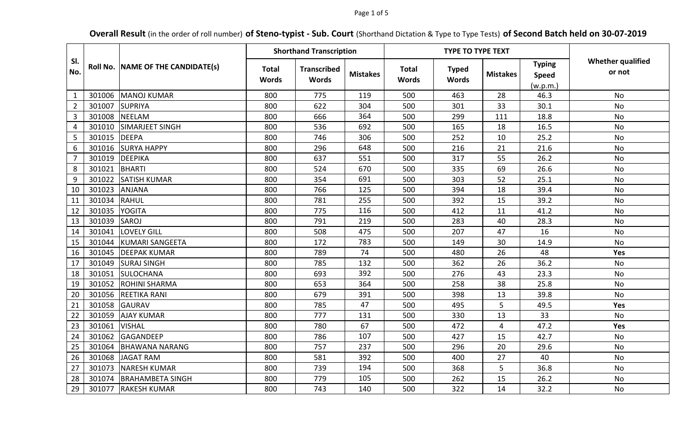## Page 1 of 5

# **Overall Result** (in the order of roll number) **of Steno-typist - Sub. Court** (Shorthand Dictation & Type to Type Tests) **of Second Batch held on 30-07-2019**

|                | Roll No. | NAME OF THE CANDIDATE(s) | <b>Shorthand Transcription</b> |                                    |                 |                              | <b>TYPE TO TYPE TEXT</b>     |                 |                                           |                                    |
|----------------|----------|--------------------------|--------------------------------|------------------------------------|-----------------|------------------------------|------------------------------|-----------------|-------------------------------------------|------------------------------------|
| SI.<br>No.     |          |                          | <b>Total</b><br><b>Words</b>   | <b>Transcribed</b><br><b>Words</b> | <b>Mistakes</b> | <b>Total</b><br><b>Words</b> | <b>Typed</b><br><b>Words</b> | <b>Mistakes</b> | <b>Typing</b><br><b>Speed</b><br>(w.p.m.) | <b>Whether qualified</b><br>or not |
| $\mathbf{1}$   | 301006   | <b>MANOJ KUMAR</b>       | 800                            | 775                                | 119             | 500                          | 463                          | 28              | 46.3                                      | <b>No</b>                          |
| $\overline{2}$ | 301007   | <b>SUPRIYA</b>           | 800                            | 622                                | 304             | 500                          | 301                          | 33              | 30.1                                      | No                                 |
| $\overline{3}$ | 301008   | <b>NEELAM</b>            | 800                            | 666                                | 364             | 500                          | 299                          | 111             | 18.8                                      | <b>No</b>                          |
| 4              | 301010   | <b>SIMARJEET SINGH</b>   | 800                            | 536                                | 692             | 500                          | 165                          | 18              | 16.5                                      | No                                 |
| 5              | 301015   | <b>DEEPA</b>             | 800                            | 746                                | 306             | 500                          | 252                          | 10              | 25.2                                      | No                                 |
| 6              | 301016   | <b>SURYA HAPPY</b>       | 800                            | 296                                | 648             | 500                          | 216                          | 21              | 21.6                                      | <b>No</b>                          |
| $\overline{7}$ | 301019   | DEEPIKA                  | 800                            | 637                                | 551             | 500                          | 317                          | 55              | 26.2                                      | <b>No</b>                          |
| 8              | 301021   | <b>BHARTI</b>            | 800                            | 524                                | 670             | 500                          | 335                          | 69              | 26.6                                      | <b>No</b>                          |
| 9              | 301022   | <b>SATISH KUMAR</b>      | 800                            | 354                                | 691             | 500                          | 303                          | 52              | 25.1                                      | <b>No</b>                          |
| 10             | 301023   | <b>ANJANA</b>            | 800                            | 766                                | 125             | 500                          | 394                          | 18              | 39.4                                      | <b>No</b>                          |
| 11             | 301034   | <b>RAHUL</b>             | 800                            | 781                                | 255             | 500                          | 392                          | 15              | 39.2                                      | No                                 |
| 12             | 301035   | <b>YOGITA</b>            | 800                            | 775                                | 116             | 500                          | 412                          | 11              | 41.2                                      | <b>No</b>                          |
| 13             | 301039   | <b>SAROJ</b>             | 800                            | 791                                | 219             | 500                          | 283                          | 40              | 28.3                                      | No                                 |
| 14             | 301041   | <b>LOVELY GILL</b>       | 800                            | 508                                | 475             | 500                          | 207                          | 47              | 16                                        | No                                 |
| 15             | 301044   | <b>KUMARI SANGEETA</b>   | 800                            | 172                                | 783             | 500                          | 149                          | 30              | 14.9                                      | No                                 |
| 16             | 301045   | <b>DEEPAK KUMAR</b>      | 800                            | 789                                | 74              | 500                          | 480                          | 26              | 48                                        | Yes                                |
| 17             | 301049   | <b>SURAJ SINGH</b>       | 800                            | 785                                | 132             | 500                          | 362                          | 26              | 36.2                                      | <b>No</b>                          |
| 18             | 301051   | SULOCHANA                | 800                            | 693                                | 392             | 500                          | 276                          | 43              | 23.3                                      | <b>No</b>                          |
| 19             | 301052   | <b>ROHINI SHARMA</b>     | 800                            | 653                                | 364             | 500                          | 258                          | 38              | 25.8                                      | <b>No</b>                          |
| 20             | 301056   | <b>REETIKA RANI</b>      | 800                            | 679                                | 391             | 500                          | 398                          | 13              | 39.8                                      | <b>No</b>                          |
| 21             | 301058   | <b>GAURAV</b>            | 800                            | 785                                | 47              | 500                          | 495                          | 5               | 49.5                                      | Yes                                |
| 22             | 301059   | <b>AJAY KUMAR</b>        | 800                            | 777                                | 131             | 500                          | 330                          | 13              | 33                                        | <b>No</b>                          |
| 23             | 301061   | <b>VISHAL</b>            | 800                            | 780                                | 67              | 500                          | 472                          | 4               | 47.2                                      | Yes                                |
| 24             | 301062   | GAGANDEEP                | 800                            | 786                                | 107             | 500                          | 427                          | 15              | 42.7                                      | <b>No</b>                          |
| 25             | 301064   | <b>BHAWANA NARANG</b>    | 800                            | 757                                | 237             | 500                          | 296                          | 20              | 29.6                                      | <b>No</b>                          |
| 26             | 301068   | JAGAT RAM                | 800                            | 581                                | 392             | 500                          | 400                          | 27              | 40                                        | No                                 |
| 27             | 301073   | <b>NARESH KUMAR</b>      | 800                            | 739                                | 194             | 500                          | 368                          | 5               | 36.8                                      | No                                 |
| 28             | 301074   | <b>BRAHAMBETA SINGH</b>  | 800                            | 779                                | 105             | 500                          | 262                          | 15              | 26.2                                      | No                                 |
| 29             | 301077   | <b>RAKESH KUMAR</b>      | 800                            | 743                                | 140             | 500                          | 322                          | 14              | 32.2                                      | No                                 |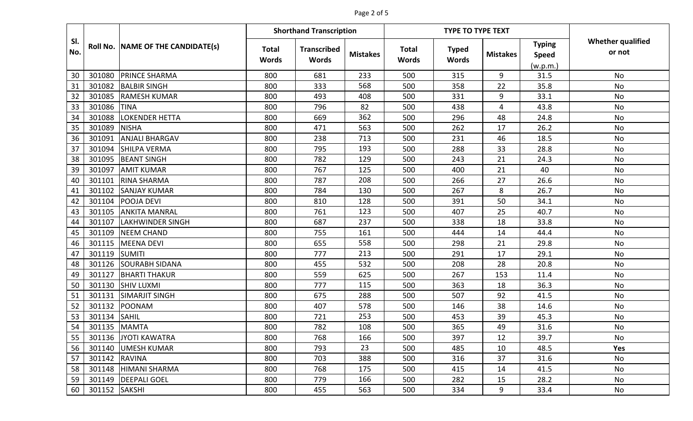# Page 2 of 5

|            |               | Roll No. NAME OF THE CANDIDATE(s) | <b>Shorthand Transcription</b> |                                    |                 |                              | <b>TYPE TO TYPE TEXT</b>     |                 |                                           |                                    |
|------------|---------------|-----------------------------------|--------------------------------|------------------------------------|-----------------|------------------------------|------------------------------|-----------------|-------------------------------------------|------------------------------------|
| SI.<br>No. |               |                                   | <b>Total</b><br><b>Words</b>   | <b>Transcribed</b><br><b>Words</b> | <b>Mistakes</b> | <b>Total</b><br><b>Words</b> | <b>Typed</b><br><b>Words</b> | <b>Mistakes</b> | <b>Typing</b><br><b>Speed</b><br>(w.p.m.) | <b>Whether qualified</b><br>or not |
| 30         | 301080        | <b>PRINCE SHARMA</b>              | 800                            | 681                                | 233             | 500                          | 315                          | 9               | 31.5                                      | <b>No</b>                          |
| 31         | 301082        | <b>BALBIR SINGH</b>               | 800                            | 333                                | 568             | 500                          | 358                          | 22              | 35.8                                      | No                                 |
| 32         | 301085        | <b>RAMESH KUMAR</b>               | 800                            | 493                                | 408             | 500                          | 331                          | 9               | 33.1                                      | No                                 |
| 33         | 301086        | <b>TINA</b>                       | 800                            | 796                                | 82              | 500                          | 438                          | 4               | 43.8                                      | No                                 |
| 34         | 301088        | LOKENDER HETTA                    | 800                            | 669                                | 362             | 500                          | 296                          | 48              | 24.8                                      | No                                 |
| 35         | 301089        | <b>NISHA</b>                      | 800                            | 471                                | 563             | 500                          | 262                          | 17              | 26.2                                      | No                                 |
| 36         | 301091        | <b>ANJALI BHARGAV</b>             | 800                            | 238                                | 713             | 500                          | 231                          | 46              | 18.5                                      | No                                 |
| 37         | 301094        | <b>SHILPA VERMA</b>               | 800                            | 795                                | 193             | 500                          | 288                          | 33              | 28.8                                      | No                                 |
| 38         | 301095        | <b>BEANT SINGH</b>                | 800                            | 782                                | 129             | 500                          | 243                          | 21              | 24.3                                      | <b>No</b>                          |
| 39         | 301097        | <b>AMIT KUMAR</b>                 | 800                            | 767                                | 125             | 500                          | 400                          | 21              | 40                                        | <b>No</b>                          |
| 40         | 301101        | <b>RINA SHARMA</b>                | 800                            | 787                                | 208             | 500                          | 266                          | 27              | 26.6                                      | No                                 |
| 41         | 301102        | <b>SANJAY KUMAR</b>               | 800                            | 784                                | 130             | 500                          | 267                          | 8               | 26.7                                      | No                                 |
| 42         | 301104        | <b>POOJA DEVI</b>                 | 800                            | 810                                | 128             | 500                          | 391                          | 50              | 34.1                                      | No                                 |
| 43         | 301105        | <b>ANKITA MANRAL</b>              | 800                            | 761                                | 123             | 500                          | 407                          | 25              | 40.7                                      | No                                 |
| 44         | 301107        | <b>LAKHWINDER SINGH</b>           | 800                            | 687                                | 237             | 500                          | 338                          | 18              | 33.8                                      | No                                 |
| 45         | 301109        | <b>NEEM CHAND</b>                 | 800                            | 755                                | 161             | 500                          | 444                          | 14              | 44.4                                      | <b>No</b>                          |
| 46         | 301115        | <b>MEENA DEVI</b>                 | 800                            | 655                                | 558             | 500                          | 298                          | 21              | 29.8                                      | <b>No</b>                          |
| 47         | 301119        | <b>SUMITI</b>                     | 800                            | 777                                | 213             | 500                          | 291                          | 17              | 29.1                                      | No                                 |
| 48         | 301126        | <b>SOURABH SIDANA</b>             | 800                            | 455                                | 532             | 500                          | 208                          | 28              | 20.8                                      | No                                 |
| 49         | 301127        | <b>BHARTI THAKUR</b>              | 800                            | 559                                | 625             | 500                          | 267                          | 153             | 11.4                                      | No                                 |
| 50         | 301130        | <b>SHIV LUXMI</b>                 | 800                            | 777                                | 115             | 500                          | 363                          | 18              | 36.3                                      | No                                 |
| 51         | 301131        | <b>SIMARJIT SINGH</b>             | 800                            | 675                                | 288             | 500                          | 507                          | 92              | 41.5                                      | <b>No</b>                          |
| 52         | 301132        | POONAM                            | 800                            | 407                                | 578             | 500                          | 146                          | 38              | 14.6                                      | No                                 |
| 53         | 301134        | <b>SAHIL</b>                      | 800                            | 721                                | 253             | 500                          | 453                          | 39              | 45.3                                      | No                                 |
| 54         | 301135        | MAMTA                             | 800                            | 782                                | 108             | 500                          | 365                          | 49              | 31.6                                      | No                                 |
| 55         |               | 301136 JYOTI KAWATRA              | 800                            | 768                                | 166             | 500                          | 397                          | 12              | 39.7                                      | No                                 |
| 56         |               | 301140 UMESH KUMAR                | 800                            | 793                                | 23              | 500                          | 485                          | 10              | 48.5                                      | Yes                                |
| 57         | 301142 RAVINA |                                   | 800                            | 703                                | 388             | 500                          | 316                          | 37              | 31.6                                      | No                                 |
| 58         |               | 301148 HIMANI SHARMA              | 800                            | 768                                | 175             | 500                          | 415                          | 14              | 41.5                                      | No                                 |
| 59         |               | 301149   DEEPALI GOEL             | 800                            | 779                                | 166             | 500                          | 282                          | 15              | 28.2                                      | No                                 |
| 60         | 301152 SAKSHI |                                   | 800                            | 455                                | 563             | 500                          | 334                          | 9               | 33.4                                      | No                                 |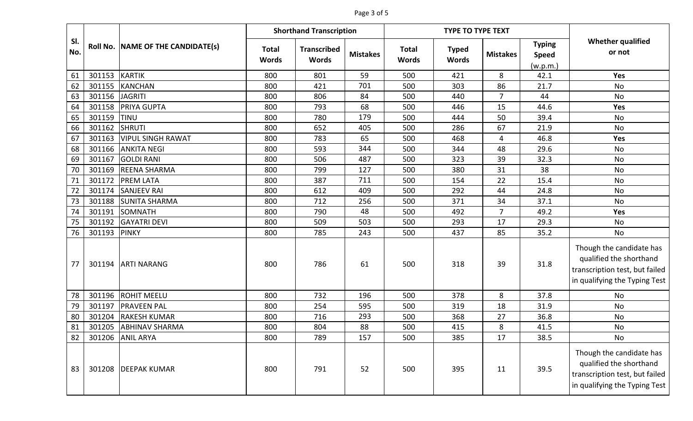# Page 3 of 5

|            |        | Roll No. NAME OF THE CANDIDATE(s) | <b>Shorthand Transcription</b> |                                    |                 |                              | <b>TYPE TO TYPE TEXT</b>     |                 |                                           |                                                                                                                        |
|------------|--------|-----------------------------------|--------------------------------|------------------------------------|-----------------|------------------------------|------------------------------|-----------------|-------------------------------------------|------------------------------------------------------------------------------------------------------------------------|
| SI.<br>No. |        |                                   | <b>Total</b><br><b>Words</b>   | <b>Transcribed</b><br><b>Words</b> | <b>Mistakes</b> | <b>Total</b><br><b>Words</b> | <b>Typed</b><br><b>Words</b> | <b>Mistakes</b> | <b>Typing</b><br><b>Speed</b><br>(w.p.m.) | <b>Whether qualified</b><br>or not                                                                                     |
| 61         | 301153 | <b>KARTIK</b>                     | 800                            | 801                                | 59              | 500                          | 421                          | 8               | 42.1                                      | Yes                                                                                                                    |
| 62         | 301155 | <b>KANCHAN</b>                    | 800                            | 421                                | 701             | 500                          | 303                          | 86              | 21.7                                      | <b>No</b>                                                                                                              |
| 63         | 301156 | <b>JAGRITI</b>                    | 800                            | 806                                | 84              | 500                          | 440                          | $\overline{7}$  | 44                                        | No                                                                                                                     |
| 64         | 301158 | <b>PRIYA GUPTA</b>                | 800                            | 793                                | 68              | 500                          | 446                          | 15              | 44.6                                      | Yes                                                                                                                    |
| 65         | 301159 | TINU                              | 800                            | 780                                | 179             | 500                          | 444                          | 50              | 39.4                                      | No                                                                                                                     |
| 66         | 301162 | <b>SHRUTI</b>                     | 800                            | 652                                | 405             | 500                          | 286                          | 67              | 21.9                                      | No                                                                                                                     |
| 67         | 301163 | <b>VIPUL SINGH RAWAT</b>          | 800                            | 783                                | 65              | 500                          | 468                          | 4               | 46.8                                      | <b>Yes</b>                                                                                                             |
| 68         | 301166 | <b>ANKITA NEGI</b>                | 800                            | 593                                | 344             | 500                          | 344                          | 48              | 29.6                                      | No                                                                                                                     |
| 69         | 301167 | <b>GOLDI RANI</b>                 | 800                            | 506                                | 487             | 500                          | 323                          | 39              | 32.3                                      | No                                                                                                                     |
| 70         | 301169 | <b>REENA SHARMA</b>               | 800                            | 799                                | 127             | 500                          | 380                          | 31              | 38                                        | No                                                                                                                     |
| 71         | 301172 | <b>PREM LATA</b>                  | 800                            | 387                                | 711             | 500                          | 154                          | 22              | 15.4                                      | No                                                                                                                     |
| 72         | 301174 | <b>SANJEEV RAI</b>                | 800                            | 612                                | 409             | 500                          | 292                          | 44              | 24.8                                      | No                                                                                                                     |
| 73         | 301188 | <b>SUNITA SHARMA</b>              | 800                            | 712                                | 256             | 500                          | 371                          | 34              | 37.1                                      | No                                                                                                                     |
| 74         | 301191 | <b>SOMNATH</b>                    | 800                            | 790                                | 48              | 500                          | 492                          | $\overline{7}$  | 49.2                                      | Yes                                                                                                                    |
| 75         | 301192 | <b>GAYATRI DEVI</b>               | 800                            | 509                                | 503             | 500                          | 293                          | 17              | 29.3                                      | No                                                                                                                     |
| 76         | 301193 | <b>PINKY</b>                      | 800                            | 785                                | 243             | 500                          | 437                          | 85              | 35.2                                      | No                                                                                                                     |
| 77         | 301194 | <b>ARTI NARANG</b>                | 800                            | 786                                | 61              | 500                          | 318                          | 39              | 31.8                                      | Though the candidate has<br>qualified the shorthand<br>transcription test, but failed<br>in qualifying the Typing Test |
| 78         | 301196 | <b>ROHIT MEELU</b>                | 800                            | 732                                | 196             | 500                          | 378                          | 8               | 37.8                                      | No                                                                                                                     |
| 79         | 301197 | <b>PRAVEEN PAL</b>                | 800                            | 254                                | 595             | 500                          | 319                          | 18              | 31.9                                      | No                                                                                                                     |
| 80         | 301204 | <b>RAKESH KUMAR</b>               | 800                            | 716                                | 293             | 500                          | 368                          | 27              | 36.8                                      | No                                                                                                                     |
| 81         | 301205 | <b>ABHINAV SHARMA</b>             | 800                            | 804                                | 88              | 500                          | 415                          | 8               | 41.5                                      | No                                                                                                                     |
| 82         | 301206 | <b>ANIL ARYA</b>                  | 800                            | 789                                | 157             | 500                          | 385                          | 17              | 38.5                                      | No                                                                                                                     |
| 83         |        | 301208 DEEPAK KUMAR               | 800                            | 791                                | 52              | 500                          | 395                          | 11              | 39.5                                      | Though the candidate has<br>qualified the shorthand<br>transcription test, but failed<br>in qualifying the Typing Test |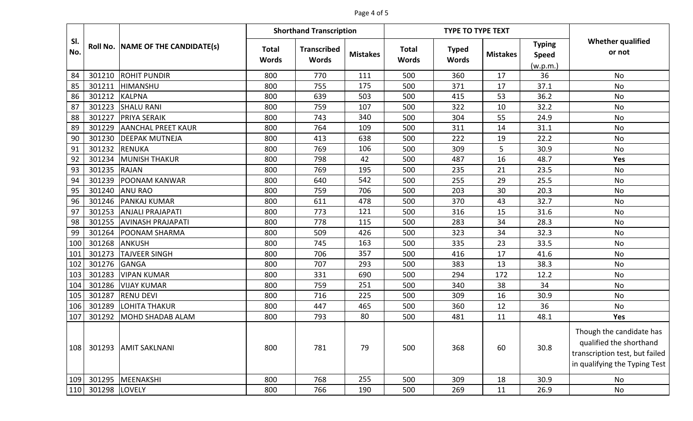## Page 4 of 5

|            |               | <b>Shorthand Transcription</b><br><b>TYPE TO TYPE TEXT</b> |                              |                                    |                 |                              |                              |                 |                                           |                                                                                                                        |
|------------|---------------|------------------------------------------------------------|------------------------------|------------------------------------|-----------------|------------------------------|------------------------------|-----------------|-------------------------------------------|------------------------------------------------------------------------------------------------------------------------|
| SI.<br>No. |               | Roll No. NAME OF THE CANDIDATE(s)                          | <b>Total</b><br><b>Words</b> | <b>Transcribed</b><br><b>Words</b> | <b>Mistakes</b> | <b>Total</b><br><b>Words</b> | <b>Typed</b><br><b>Words</b> | <b>Mistakes</b> | <b>Typing</b><br><b>Speed</b><br>(w.p.m.) | <b>Whether qualified</b><br>or not                                                                                     |
| 84         | 301210        | <b>ROHIT PUNDIR</b>                                        | 800                          | 770                                | 111             | 500                          | 360                          | 17              | 36                                        | <b>No</b>                                                                                                              |
| 85         | 301211        | HIMANSHU                                                   | 800                          | 755                                | 175             | 500                          | 371                          | 17              | 37.1                                      | <b>No</b>                                                                                                              |
| 86         | 301212        | <b>KALPNA</b>                                              | 800                          | 639                                | 503             | 500                          | 415                          | 53              | 36.2                                      | No                                                                                                                     |
| 87         | 301223        | <b>SHALU RANI</b>                                          | 800                          | 759                                | 107             | 500                          | 322                          | 10              | 32.2                                      | <b>No</b>                                                                                                              |
| 88         | 301227        | <b>PRIYA SERAIK</b>                                        | 800                          | 743                                | 340             | 500                          | 304                          | 55              | 24.9                                      | No                                                                                                                     |
| 89         | 301229        | <b>AANCHAL PREET KAUR</b>                                  | 800                          | 764                                | 109             | 500                          | 311                          | 14              | 31.1                                      | No                                                                                                                     |
| 90         | 301230        | <b>DEEPAK MUTNEJA</b>                                      | 800                          | 413                                | 638             | 500                          | 222                          | 19              | 22.2                                      | <b>No</b>                                                                                                              |
| 91         | 301232        | <b>RENUKA</b>                                              | 800                          | 769                                | 106             | 500                          | 309                          | 5               | 30.9                                      | No                                                                                                                     |
| 92         | 301234        | <b>MUNISH THAKUR</b>                                       | 800                          | 798                                | 42              | 500                          | 487                          | 16              | 48.7                                      | <b>Yes</b>                                                                                                             |
| 93         | 301235        | <b>RAJAN</b>                                               | 800                          | 769                                | 195             | 500                          | 235                          | 21              | 23.5                                      | No                                                                                                                     |
| 94         | 301239        | <b>POONAM KANWAR</b>                                       | 800                          | 640                                | 542             | 500                          | 255                          | 29              | 25.5                                      | No                                                                                                                     |
| 95         | 301240        | <b>ANU RAO</b>                                             | 800                          | 759                                | 706             | 500                          | 203                          | 30              | 20.3                                      | No                                                                                                                     |
| 96         | 301246        | <b>PANKAJ KUMAR</b>                                        | 800                          | 611                                | 478             | 500                          | 370                          | 43              | 32.7                                      | No                                                                                                                     |
| 97         | 301253        | <b>ANJALI PRAJAPATI</b>                                    | 800                          | 773                                | 121             | 500                          | 316                          | 15              | 31.6                                      | No                                                                                                                     |
| 98         | 301255        | <b>AVINASH PRAJAPATI</b>                                   | 800                          | 778                                | 115             | 500                          | 283                          | 34              | 28.3                                      | No                                                                                                                     |
| 99         | 301264        | <b>POONAM SHARMA</b>                                       | 800                          | 509                                | 426             | 500                          | 323                          | 34              | 32.3                                      | <b>No</b>                                                                                                              |
| 100        | 301268        | <b>ANKUSH</b>                                              | 800                          | 745                                | 163             | 500                          | 335                          | 23              | 33.5                                      | <b>No</b>                                                                                                              |
| 101        | 301273        | <b>TAJVEER SINGH</b>                                       | 800                          | 706                                | 357             | 500                          | 416                          | 17              | 41.6                                      | No                                                                                                                     |
| 102        | 301276        | <b>GANGA</b>                                               | 800                          | 707                                | 293             | 500                          | 383                          | 13              | 38.3                                      | No                                                                                                                     |
| 103        | 301283        | <b>VIPAN KUMAR</b>                                         | 800                          | 331                                | 690             | 500                          | 294                          | 172             | 12.2                                      | No                                                                                                                     |
| 104        | 301286        | <b>VIJAY KUMAR</b>                                         | 800                          | 759                                | 251             | 500                          | 340                          | 38              | 34                                        | No                                                                                                                     |
| 105        | 301287        | <b>RENU DEVI</b>                                           | 800                          | 716                                | 225             | 500                          | 309                          | 16              | 30.9                                      | No                                                                                                                     |
| 106        | 301289        | <b>LOHITA THAKUR</b>                                       | 800                          | 447                                | 465             | 500                          | 360                          | 12              | 36                                        | No                                                                                                                     |
| 107        | 301292        | MOHD SHADAB ALAM                                           | 800                          | 793                                | 80              | 500                          | 481                          | 11              | 48.1                                      | Yes                                                                                                                    |
| 108        |               | 301293 AMIT SAKLNANI                                       | 800                          | 781                                | 79              | 500                          | 368                          | 60              | 30.8                                      | Though the candidate has<br>qualified the shorthand<br>transcription test, but failed<br>in qualifying the Typing Test |
| 109        | 301295        | MEENAKSHI                                                  | 800                          | 768                                | 255             | 500                          | 309                          | 18              | 30.9                                      | No                                                                                                                     |
| 110        | 301298 LOVELY |                                                            | 800                          | 766                                | 190             | 500                          | 269                          | 11              | 26.9                                      | No                                                                                                                     |